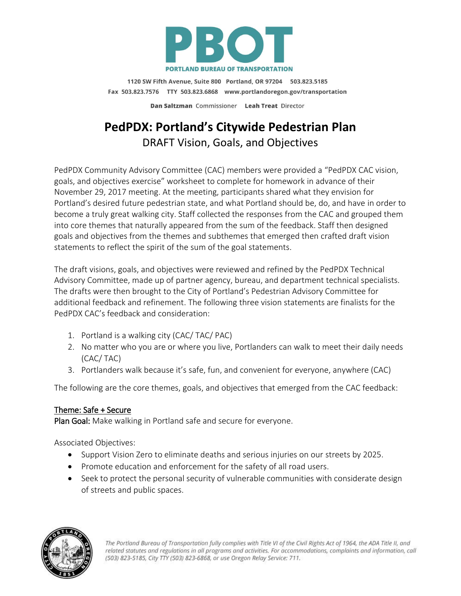

1120 SW Fifth Avenue, Suite 800 Portland, OR 97204 503.823.5185 Fax 503.823.7576 TTY 503.823.6868 www.portlandoregon.gov/transportation Dan Saltzman Commissioner Leah Treat Director

# **PedPDX: Portland's Citywide Pedestrian Plan** DRAFT Vision, Goals, and Objectives

PedPDX Community Advisory Committee (CAC) members were provided a "PedPDX CAC vision, goals, and objectives exercise" worksheet to complete for homework in advance of their November 29, 2017 meeting. At the meeting, participants shared what they envision for Portland's desired future pedestrian state, and what Portland should be, do, and have in order to become a truly great walking city. Staff collected the responses from the CAC and grouped them into core themes that naturally appeared from the sum of the feedback. Staff then designed goals and objectives from the themes and subthemes that emerged then crafted draft vision statements to reflect the spirit of the sum of the goal statements.

The draft visions, goals, and objectives were reviewed and refined by the PedPDX Technical Advisory Committee, made up of partner agency, bureau, and department technical specialists. The drafts were then brought to the City of Portland's Pedestrian Advisory Committee for additional feedback and refinement. The following three vision statements are finalists for the PedPDX CAC's feedback and consideration:

- 1. Portland is a walking city (CAC/ TAC/ PAC)
- 2. No matter who you are or where you live, Portlanders can walk to meet their daily needs (CAC/ TAC)
- 3. Portlanders walk because it's safe, fun, and convenient for everyone, anywhere (CAC)

The following are the core themes, goals, and objectives that emerged from the CAC feedback:

# Theme: Safe + Secure

Plan Goal: Make walking in Portland safe and secure for everyone.

Associated Objectives:

- Support Vision Zero to eliminate deaths and serious injuries on our streets by 2025.
- Promote education and enforcement for the safety of all road users.
- Seek to protect the personal security of vulnerable communities with considerate design of streets and public spaces.

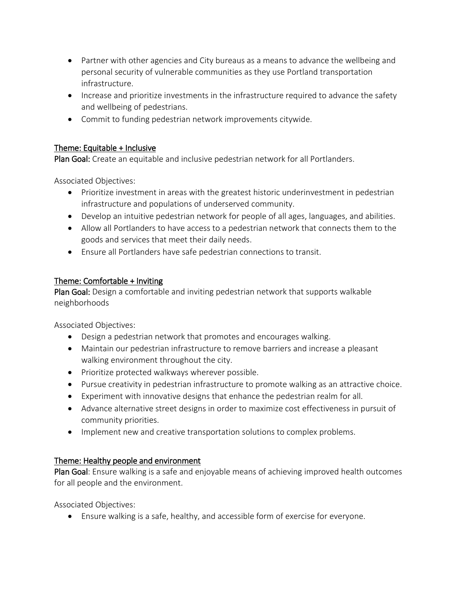- Partner with other agencies and City bureaus as a means to advance the wellbeing and personal security of vulnerable communities as they use Portland transportation infrastructure.
- Increase and prioritize investments in the infrastructure required to advance the safety and wellbeing of pedestrians.
- Commit to funding pedestrian network improvements citywide.

# Theme: Equitable + Inclusive

Plan Goal: Create an equitable and inclusive pedestrian network for all Portlanders.

Associated Objectives:

- Prioritize investment in areas with the greatest historic underinvestment in pedestrian infrastructure and populations of underserved community.
- Develop an intuitive pedestrian network for people of all ages, languages, and abilities.
- Allow all Portlanders to have access to a pedestrian network that connects them to the goods and services that meet their daily needs.
- Ensure all Portlanders have safe pedestrian connections to transit.

# Theme: Comfortable + Inviting

Plan Goal: Design a comfortable and inviting pedestrian network that supports walkable neighborhoods

Associated Objectives:

- Design a pedestrian network that promotes and encourages walking.
- Maintain our pedestrian infrastructure to remove barriers and increase a pleasant walking environment throughout the city.
- Prioritize protected walkways wherever possible.
- Pursue creativity in pedestrian infrastructure to promote walking as an attractive choice.
- Experiment with innovative designs that enhance the pedestrian realm for all.
- Advance alternative street designs in order to maximize cost effectiveness in pursuit of community priorities.
- Implement new and creative transportation solutions to complex problems.

# Theme: Healthy people and environment

Plan Goal: Ensure walking is a safe and enjoyable means of achieving improved health outcomes for all people and the environment.

Associated Objectives:

• Ensure walking is a safe, healthy, and accessible form of exercise for everyone.